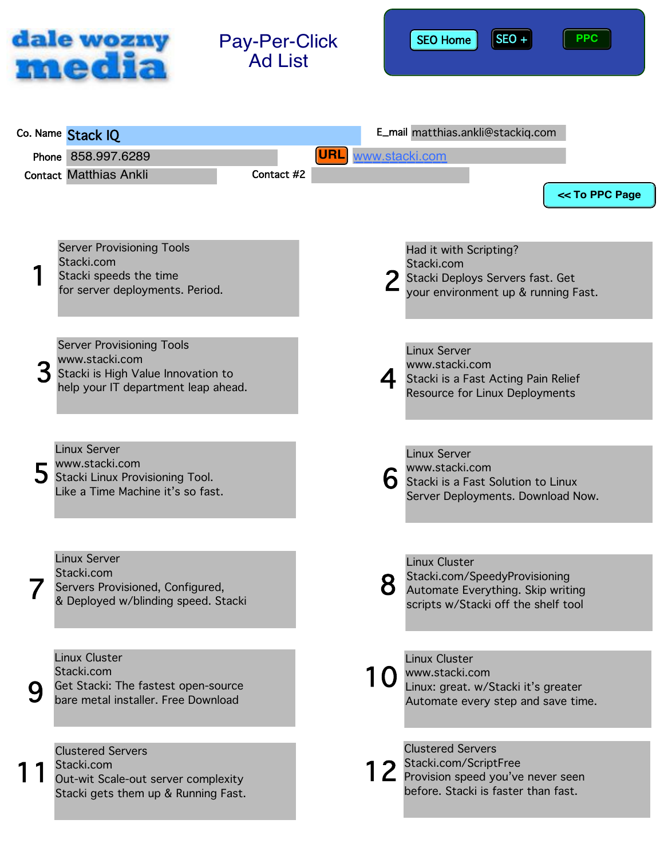

Pay-Per-Click Ad List